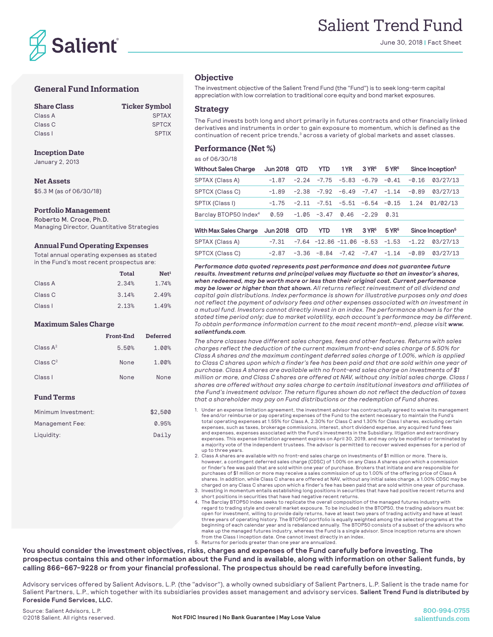

# Salient Trend Fund

June 30, 2018 | Fact Sheet

# **General Fund Information**

| <b>Share Class</b> | <b>Ticker Symbol</b> |
|--------------------|----------------------|
| Class A            | <b>SPTAX</b>         |
| Class C            | <b>SPTCX</b>         |
| Class I            | <b>SPTIX</b>         |

#### **Inception Date**

January 2, 2013

### **Net Assets**

\$5.3 M (as of 06/30/18)

#### **Portfolio Management**

Roberto M. Croce, Ph.D. Managing Director, Quantitative Strategies

#### **Annual Fund Operating Expenses**

Total annual operating expenses as stated in the Fund's most recent prospectus are:

|         | Total | Net <sup>1</sup> |
|---------|-------|------------------|
| Class A | 2.34% | 1.74%            |
| Class C | 3.14% | 2.49%            |
| Class I | 2.13% | 1.49%            |

#### **Maximum Sales Charge**

|                      | Front-End | <b>Deferred</b> |
|----------------------|-----------|-----------------|
| Class $A^2$          | 5.50%     | 1.00%           |
| Class C <sup>2</sup> | None      | 1.00%           |
| Class I              | None      | None            |

## **Fund Terms**

| Minimum Investment: | \$2.500 |
|---------------------|---------|
| Management Fee:     | 0.95%   |
| Liquidity:          | Daily   |

## **Objective**

The investment objective of the Salient Trend Fund (the "Fund") is to seek long-term capital appreciation with low correlation to traditional core equity and bond market exposures.

### **Strategy**

The Fund invests both long and short primarily in futures contracts and other financially linked derivatives and instruments in order to gain exposure to momentum, which is defined as the continuation of recent price trends,<sup>3</sup> across a variety of global markets and asset classes.

## **Performance (Net %)**

as of 06/30/18

| <b>Without Sales Charge</b>       | Jun 2018        | <b>QTD</b> | <b>YTD</b>     | 1YR                                       | $3$ YR <sup>5</sup> | $5$ YR <sup>5</sup> |                              | Since Inception <sup>5</sup> |
|-----------------------------------|-----------------|------------|----------------|-------------------------------------------|---------------------|---------------------|------------------------------|------------------------------|
| SPTAX (Class A)                   | $-1.87$         | $-2.24$    | $-7.75$        | -5.83                                     | $-6.79$             | $-0.41$             | $-0.16$                      | 03/27/13                     |
| SPTCX (Class C)                   | $-1.89$         |            | $-2.38 - 7.92$ | $-6.49$                                   | $-7.47$             | $-1.14$             | $-0.89$                      | 03/27/13                     |
| SPTIX (Class I)                   | $-1.75$         | $-2.11$    |                | $-7.51 - 5.51$                            | $-6.54 - 0.15$      |                     | 1.24                         | 01/02/13                     |
| Barclay BTOP50 Index <sup>4</sup> | 0.59            |            | $-1.05 -3.47$  | 0.46                                      | $-2.29$             | 0.31                |                              |                              |
| <b>With Max Sales Charge</b>      | <b>Jun 2018</b> | <b>QTD</b> | YTD            | 1 YR                                      | 3 YR <sup>5</sup>   | $5$ YR <sup>5</sup> | Since Inception <sup>5</sup> |                              |
| SPTAX (Class A)                   | $-7.31$         |            |                | $-7.64$ $-12.86$ $-11.06$ $-8.53$ $-1.53$ |                     |                     | $-1.22$                      | 03/27/13                     |
| SPTCX (Class C)                   | $-2.87$         | $-3.36$    | $-8.84$        | $-7.42$                                   | $-7.47$             | $-1.14$             | $-0.89$                      | 03/27/13                     |

*Performance data quoted represents past performance and does not guarantee future results. Investment returns and principal values may fluctuate so that an investor's shares, when redeemed, may be worth more or less than their original cost. Current performance may be lower or higher than that shown. All returns reflect reinvestment of all dividend and capital gain distributions. Index performance is shown for illustrative purposes only and does not reflect the payment of advisory fees and other expenses associated with an investment in a mutual fund. Investors cannot directly invest in an index. The performance shown is for the stated time period only; due to market volatility, each account's performance may be different. To obtain performance information current to the most recent month-end, please visit www. salientfunds.com.*

*The share classes have different sales charges, fees and other features. Returns with sales charges reflect the deduction of the current maximum front-end sales charge of 5.50% for Class A shares and the maximum contingent deferred sales charge of 1.00%, which is applied to Class C shares upon which a finder's fee has been paid and that are sold within one year of purchase. Class A shares are available with no front-end sales charge on investments of \$1 million or more, and Class C shares are offered at NAV, without any initial sales charge. Class I shares are offered without any sales charge to certain institutional investors and affiliates of the Fund's investment advisor. The return figures shown do not reflect the deduction of taxes that a shareholder may pay on Fund distributions or the redemption of Fund shares.*

- 1. Under an expense limitation agreement, the investment advisor has contractually agreed to waive its management fee and/or reimburse or pay operating expenses of the Fund to the extent necessary to maintain the Fund's total operating expenses at 1.55% for Class A, 2.30% for Class C and 1.30% for Class I shares, excluding certain expenses, such as taxes, brokerage commissions, interest, short dividend expense, any acquired fund fees and expenses, expenses associated with the Fund's investments in the Subsidiary, litigation and extraordinary expenses. This expense limitation agreement expires on April 30, 2019, and may only be modified or terminated by a majority vote of the independent trustees. The advisor is permitted to recover waived expenses for a period of up to three years.
- 2. Class A shares are available with no front-end sales charge on investments of \$1 million or more. There is, however, a contingent deferred sales charge (CDSC) of 1.00% on any Class A shares upon which a commission or finder's fee was paid that are sold within one year of purchase. Brokers that initiate and are responsible for purchases of \$1 million or more may receive a sales commission of up to 1.00% of the offering price of Class A shares. In addition, while Class C shares are offered at NAV, without any initial sales charge, a 1.00% CDSC may be
- . charged on any Class C shares upon which a finder's fee has been paid that are sold within one year of purchase<br>3. Investing in momentum entails establishing long positions in securities that have had positive recent re short positions in securities that have had negative recent returns.
- 4. The Barclay BTOP50 Index seeks to replicate the overall composition of the managed futures industry with regard to trading style and overall market exposure. To be included in the BTOP50, the trading advisors must be: open for investment, willing to provide daily returns, have at least two years of trading activity and have at least three years of operating history. The BTOP50 portfolio is equally weighted among the selected programs at the beginning of each calendar year and is rebalanced annually. The BTOP50 consists of a subset of the advisors who make up the managed futures industry, whereas the Fund is a single advisor. Since inception returns are shown from the Class I inception date. One cannot invest directly in an index. 5. Returns for periods greater than one year are annualized.

**You should consider the investment objectives, risks, charges and expenses of the Fund carefully before investing. The prospectus contains this and other information about the Fund and is available, along with information on other Salient funds, by calling 866-667-9228 or from your financial professional. The prospectus should be read carefully before investing.** 

Advisory services offered by Salient Advisors, L.P. (the "advisor"), a wholly owned subsidiary of Salient Partners, L.P. Salient is the trade name for Salient Partners, L.P., which together with its subsidiaries provides asset management and advisory services. **Salient Trend Fund is distributed by Foreside Fund Services, LLC.**